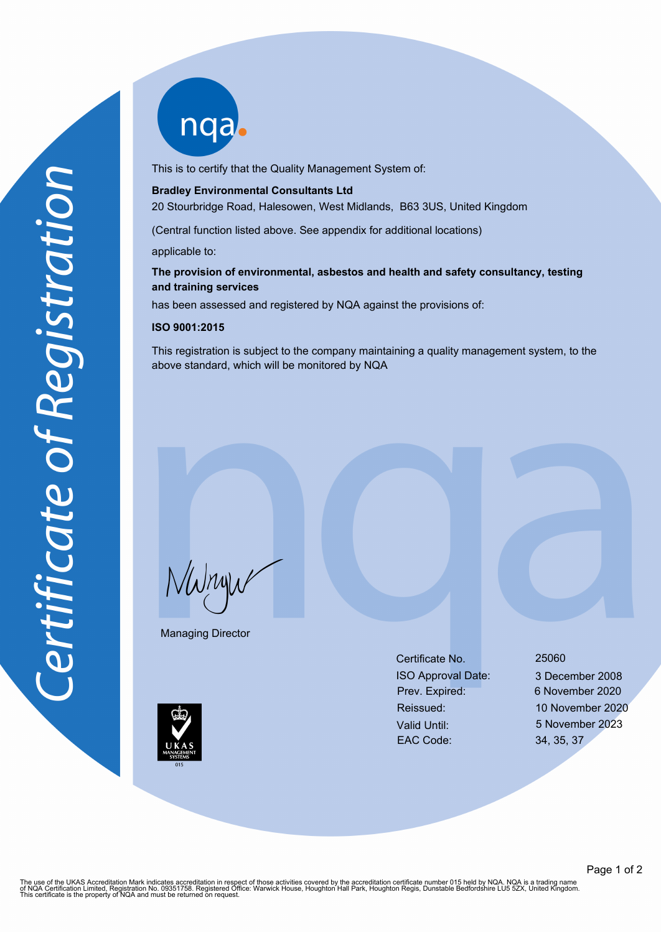nqab

This is to certify that the Quality Management System of:

#### **Bradley Environmental Consultants Ltd**

20 Stourbridge Road, Halesowen, West Midlands, B63 3US, United Kingdom

(Central function listed above. See appendix for additional locations)

applicable to:

### **The provision of environmental, asbestos and health and safety consultancy, testing and training services**

has been assessed and registered by NQA against the provisions of:

#### **ISO 9001:2015**

This registration is subject to the company maintaining a quality management system, to the above standard, which will be monitored by NQA

NWnyw

Managing Director

Certificate No. 25060 ISO Approval Date: 3 December 2008 Prev. Expired: 6 November 2020 Valid Until: 5 November 2023 EAC Code: 34, 35, 37

Reissued: 10 November 2020



The use of the UKAS Accreditation Mark indicates accreditation in respect of those activities covered by the accreditation certificate number 015 held by NQA. NQA is a trading name<br>of NQA Certification Limited, Registratio